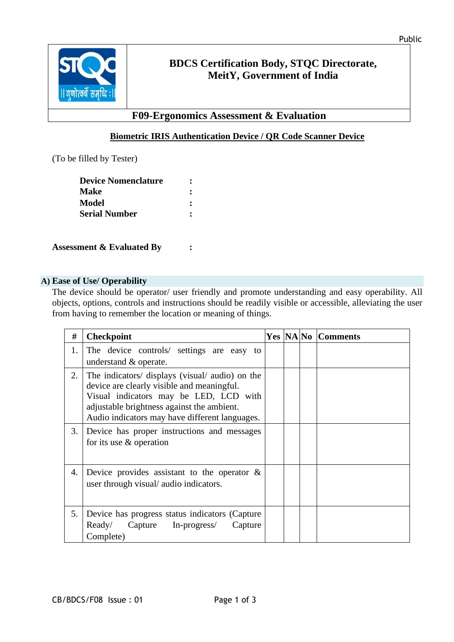

## **BDCS Certification Body, STQC Directorate, MeitY, Government of India**

## **F09-Ergonomics Assessment & Evaluation**

### **Biometric IRIS Authentication Device / QR Code Scanner Device**

(To be filled by Tester)

| <b>Device Nomenclature</b> |  |
|----------------------------|--|
| <b>Make</b>                |  |
| Model                      |  |
| <b>Serial Number</b>       |  |

**Assessment & Evaluated By :** 

#### **A) Ease of Use/ Operability**

The device should be operator/ user friendly and promote understanding and easy operability. All objects, options, controls and instructions should be readily visible or accessible, alleviating the user from having to remember the location or meaning of things.

| #  | <b>Checkpoint</b>                                                                                                                                                                                                                       |  | <b>Yes NANo Comments</b> |
|----|-----------------------------------------------------------------------------------------------------------------------------------------------------------------------------------------------------------------------------------------|--|--------------------------|
| 1. | The device controls/ settings are easy to<br>understand & operate.                                                                                                                                                                      |  |                          |
| 2. | The indicators/ displays (visual/ audio) on the<br>device are clearly visible and meaningful.<br>Visual indicators may be LED, LCD with<br>adjustable brightness against the ambient.<br>Audio indicators may have different languages. |  |                          |
| 3. | Device has proper instructions and messages<br>for its use $\&$ operation                                                                                                                                                               |  |                          |
| 4. | Device provides assistant to the operator $\&$<br>user through visual/ audio indicators.                                                                                                                                                |  |                          |
| 5. | Device has progress status indicators (Capture<br>Capture In-progress/<br>Ready/<br>Capture<br>Complete)                                                                                                                                |  |                          |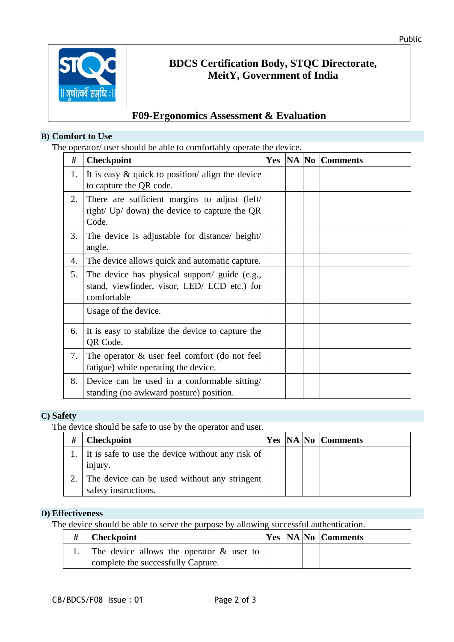

# **BDCS Certification Body, STQC Directorate, MeitY, Government of India**

## **F09-Ergonomics Assessment & Evaluation**

#### **B) Comfort to Use**

The operator/ user should be able to comfortably operate the device.

| #  | <b>Checkpoint</b>                                                                                            |  | <b>Yes  NA  No  Comments</b> |
|----|--------------------------------------------------------------------------------------------------------------|--|------------------------------|
| 1. | It is easy $\&$ quick to position/ align the device<br>to capture the QR code.                               |  |                              |
| 2. | There are sufficient margins to adjust (left/<br>right/ Up/ down) the device to capture the QR<br>Code.      |  |                              |
| 3. | The device is adjustable for distance/height/<br>angle.                                                      |  |                              |
| 4. | The device allows quick and automatic capture.                                                               |  |                              |
| 5. | The device has physical support/ guide (e.g.,<br>stand, viewfinder, visor, LED/ LCD etc.) for<br>comfortable |  |                              |
|    | Usage of the device.                                                                                         |  |                              |
| 6. | It is easy to stabilize the device to capture the<br>QR Code.                                                |  |                              |
| 7. | The operator $\&$ user feel comfort (do not feel<br>fatigue) while operating the device.                     |  |                              |
| 8. | Device can be used in a conformable sitting/<br>standing (no awkward posture) position.                      |  |                              |

### **C) Safety**

The device should be safe to use by the operator and user.

| # | <b>Checkpoint</b>                                                      |  | <b>Yes NA No Comments</b> |
|---|------------------------------------------------------------------------|--|---------------------------|
|   | 1. It is safe to use the device without any risk of $\vert$<br>injury. |  |                           |
|   | The device can be used without any stringent<br>safety instructions.   |  |                           |

### **D) Effectiveness**

The device should be able to serve the purpose by allowing successful authentication.

| <b>Checkpoint</b>                              |  | <b>Yes NA No Comments</b> |
|------------------------------------------------|--|---------------------------|
| 1. The device allows the operator $\&$ user to |  |                           |
| complete the successfully Capture.             |  |                           |